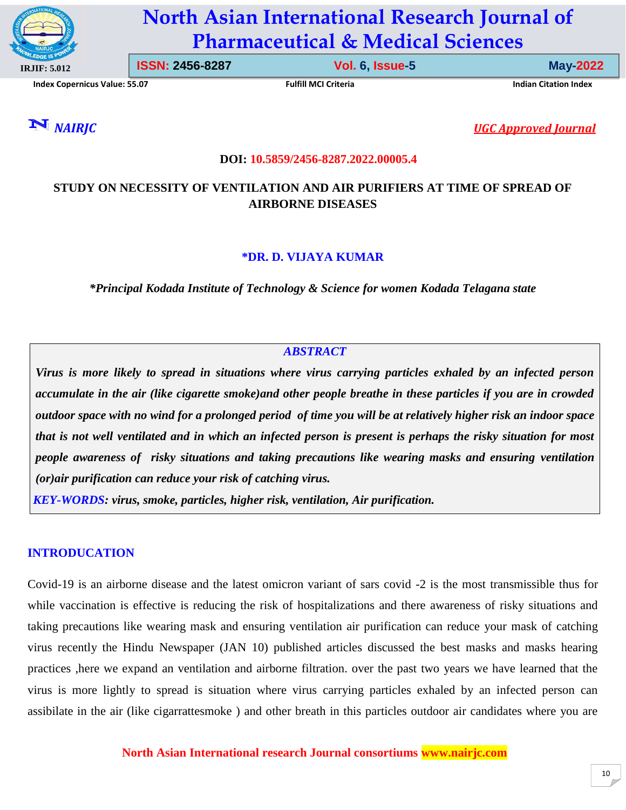

# **North Asian International Research Journal of Pharmaceutical & Medical Sciences**

**Index Copernicus Value: 55.07 Fulfill MCI Criteria Indian Citation Index**

**ISSN: 2456-8287 Vol. 6, Issue-5 May-2022**

*NAIRJC**UGC Approved Journal*

#### **DOI: 10.5859/2456-8287.2022.00005.4**

# **STUDY ON NECESSITY OF VENTILATION AND AIR PURIFIERS AT TIME OF SPREAD OF AIRBORNE DISEASES**

#### **\*DR. D. VIJAYA KUMAR**

*\*Principal Kodada Institute of Technology & Science for women Kodada Telagana state*

## *ABSTRACT*

*Virus is more likely to spread in situations where virus carrying particles exhaled by an infected person accumulate in the air (like cigarette smoke)and other people breathe in these particles if you are in crowded outdoor space with no wind for a prolonged period of time you will be at relatively higher risk an indoor space that is not well ventilated and in which an infected person is present is perhaps the risky situation for most people awareness of risky situations and taking precautions like wearing masks and ensuring ventilation (or)air purification can reduce your risk of catching virus.*

*KEY-WORDS: virus, smoke, particles, higher risk, ventilation, Air purification.*

#### **INTRODUCATION**

Covid-19 is an airborne disease and the latest omicron variant of sars covid -2 is the most transmissible thus for while vaccination is effective is reducing the risk of hospitalizations and there awareness of risky situations and taking precautions like wearing mask and ensuring ventilation air purification can reduce your mask of catching virus recently the Hindu Newspaper (JAN 10) published articles discussed the best masks and masks hearing practices ,here we expand an ventilation and airborne filtration. over the past two years we have learned that the virus is more lightly to spread is situation where virus carrying particles exhaled by an infected person can assibilate in the air (like cigarrattesmoke ) and other breath in this particles outdoor air candidates where you are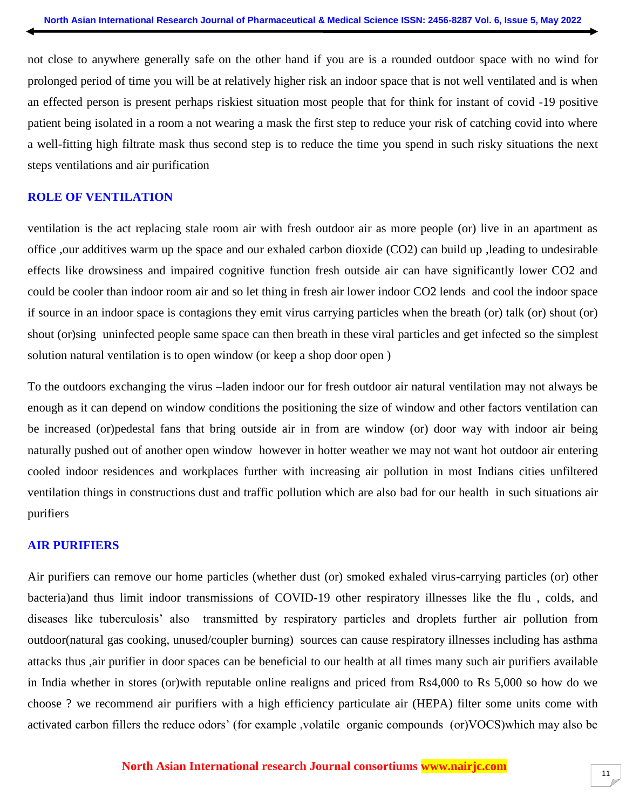not close to anywhere generally safe on the other hand if you are is a rounded outdoor space with no wind for prolonged period of time you will be at relatively higher risk an indoor space that is not well ventilated and is when an effected person is present perhaps riskiest situation most people that for think for instant of covid -19 positive patient being isolated in a room a not wearing a mask the first step to reduce your risk of catching covid into where a well-fitting high filtrate mask thus second step is to reduce the time you spend in such risky situations the next steps ventilations and air purification

#### **ROLE OF VENTILATION**

ventilation is the act replacing stale room air with fresh outdoor air as more people (or) live in an apartment as office ,our additives warm up the space and our exhaled carbon dioxide (CO2) can build up ,leading to undesirable effects like drowsiness and impaired cognitive function fresh outside air can have significantly lower CO2 and could be cooler than indoor room air and so let thing in fresh air lower indoor CO2 lends and cool the indoor space if source in an indoor space is contagions they emit virus carrying particles when the breath (or) talk (or) shout (or) shout (or)sing uninfected people same space can then breath in these viral particles and get infected so the simplest solution natural ventilation is to open window (or keep a shop door open )

To the outdoors exchanging the virus –laden indoor our for fresh outdoor air natural ventilation may not always be enough as it can depend on window conditions the positioning the size of window and other factors ventilation can be increased (or)pedestal fans that bring outside air in from are window (or) door way with indoor air being naturally pushed out of another open window however in hotter weather we may not want hot outdoor air entering cooled indoor residences and workplaces further with increasing air pollution in most Indians cities unfiltered ventilation things in constructions dust and traffic pollution which are also bad for our health in such situations air purifiers

#### **AIR PURIFIERS**

Air purifiers can remove our home particles (whether dust (or) smoked exhaled virus-carrying particles (or) other bacteria)and thus limit indoor transmissions of COVID-19 other respiratory illnesses like the flu , colds, and diseases like tuberculosis' also transmitted by respiratory particles and droplets further air pollution from outdoor(natural gas cooking, unused/coupler burning) sources can cause respiratory illnesses including has asthma attacks thus ,air purifier in door spaces can be beneficial to our health at all times many such air purifiers available in India whether in stores (or)with reputable online realigns and priced from Rs4,000 to Rs 5,000 so how do we choose ? we recommend air purifiers with a high efficiency particulate air (HEPA) filter some units come with activated carbon fillers the reduce odors' (for example ,volatile organic compounds (or)VOCS)which may also be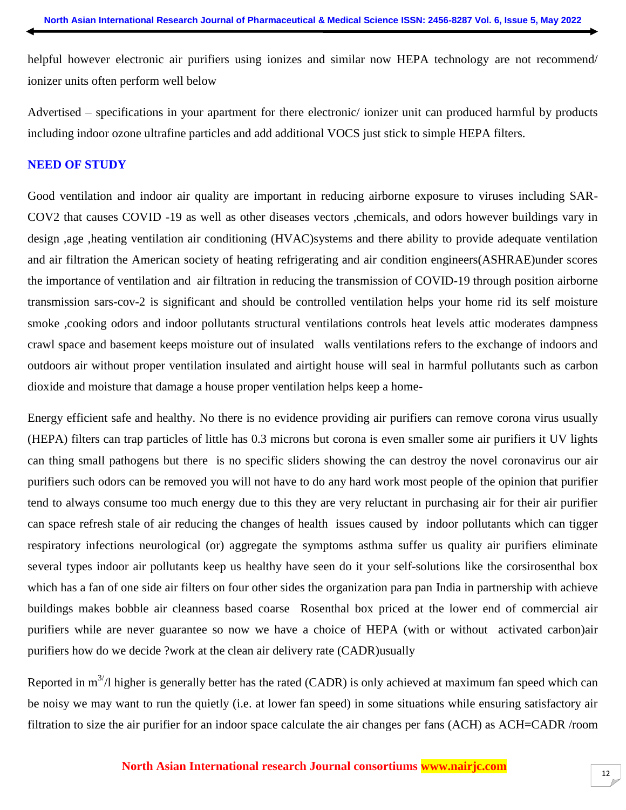helpful however electronic air purifiers using ionizes and similar now HEPA technology are not recommend/ ionizer units often perform well below

Advertised – specifications in your apartment for there electronic/ ionizer unit can produced harmful by products including indoor ozone ultrafine particles and add additional VOCS just stick to simple HEPA filters.

#### **NEED OF STUDY**

Good ventilation and indoor air quality are important in reducing airborne exposure to viruses including SAR-COV2 that causes COVID -19 as well as other diseases vectors ,chemicals, and odors however buildings vary in design ,age ,heating ventilation air conditioning (HVAC)systems and there ability to provide adequate ventilation and air filtration the American society of heating refrigerating and air condition engineers(ASHRAE)under scores the importance of ventilation and air filtration in reducing the transmission of COVID-19 through position airborne transmission sars-cov-2 is significant and should be controlled ventilation helps your home rid its self moisture smoke ,cooking odors and indoor pollutants structural ventilations controls heat levels attic moderates dampness crawl space and basement keeps moisture out of insulated walls ventilations refers to the exchange of indoors and outdoors air without proper ventilation insulated and airtight house will seal in harmful pollutants such as carbon dioxide and moisture that damage a house proper ventilation helps keep a home-

Energy efficient safe and healthy. No there is no evidence providing air purifiers can remove corona virus usually (HEPA) filters can trap particles of little has 0.3 microns but corona is even smaller some air purifiers it UV lights can thing small pathogens but there is no specific sliders showing the can destroy the novel coronavirus our air purifiers such odors can be removed you will not have to do any hard work most people of the opinion that purifier tend to always consume too much energy due to this they are very reluctant in purchasing air for their air purifier can space refresh stale of air reducing the changes of health issues caused by indoor pollutants which can tigger respiratory infections neurological (or) aggregate the symptoms asthma suffer us quality air purifiers eliminate several types indoor air pollutants keep us healthy have seen do it your self-solutions like the corsirosenthal box which has a fan of one side air filters on four other sides the organization para pan India in partnership with achieve buildings makes bobble air cleanness based coarse Rosenthal box priced at the lower end of commercial air purifiers while are never guarantee so now we have a choice of HEPA (with or without activated carbon)air purifiers how do we decide ?work at the clean air delivery rate (CADR)usually

Reported in  $m^{3/7}$  higher is generally better has the rated (CADR) is only achieved at maximum fan speed which can be noisy we may want to run the quietly (i.e. at lower fan speed) in some situations while ensuring satisfactory air filtration to size the air purifier for an indoor space calculate the air changes per fans (ACH) as ACH=CADR /room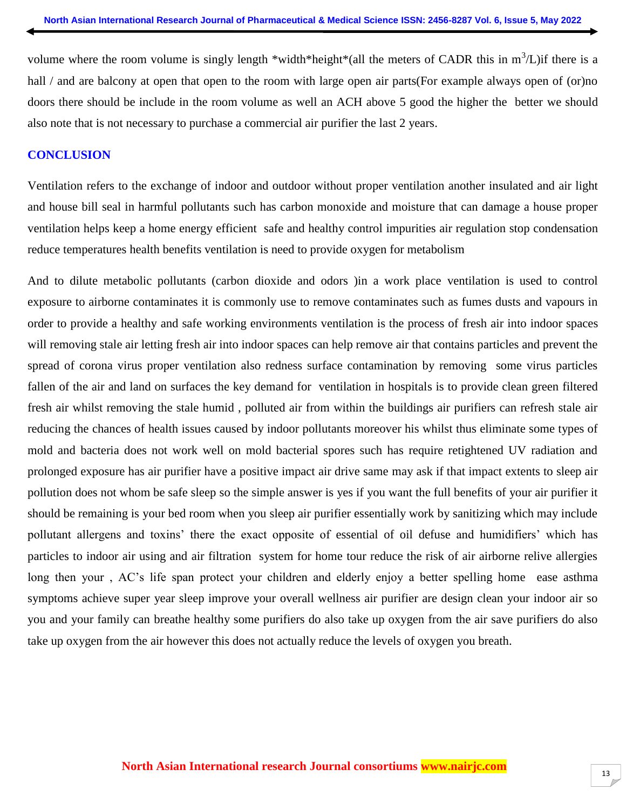volume where the room volume is singly length \*width\*height\*(all the meters of CADR this in  $m^3/L$ ) if there is a hall / and are balcony at open that open to the room with large open air parts(For example always open of (or)no doors there should be include in the room volume as well an ACH above 5 good the higher the better we should also note that is not necessary to purchase a commercial air purifier the last 2 years.

#### **CONCLUSION**

Ventilation refers to the exchange of indoor and outdoor without proper ventilation another insulated and air light and house bill seal in harmful pollutants such has carbon monoxide and moisture that can damage a house proper ventilation helps keep a home energy efficient safe and healthy control impurities air regulation stop condensation reduce temperatures health benefits ventilation is need to provide oxygen for metabolism

And to dilute metabolic pollutants (carbon dioxide and odors )in a work place ventilation is used to control exposure to airborne contaminates it is commonly use to remove contaminates such as fumes dusts and vapours in order to provide a healthy and safe working environments ventilation is the process of fresh air into indoor spaces will removing stale air letting fresh air into indoor spaces can help remove air that contains particles and prevent the spread of corona virus proper ventilation also redness surface contamination by removing some virus particles fallen of the air and land on surfaces the key demand for ventilation in hospitals is to provide clean green filtered fresh air whilst removing the stale humid , polluted air from within the buildings air purifiers can refresh stale air reducing the chances of health issues caused by indoor pollutants moreover his whilst thus eliminate some types of mold and bacteria does not work well on mold bacterial spores such has require retightened UV radiation and prolonged exposure has air purifier have a positive impact air drive same may ask if that impact extents to sleep air pollution does not whom be safe sleep so the simple answer is yes if you want the full benefits of your air purifier it should be remaining is your bed room when you sleep air purifier essentially work by sanitizing which may include pollutant allergens and toxins' there the exact opposite of essential of oil defuse and humidifiers' which has particles to indoor air using and air filtration system for home tour reduce the risk of air airborne relive allergies long then your , AC's life span protect your children and elderly enjoy a better spelling home ease asthma symptoms achieve super year sleep improve your overall wellness air purifier are design clean your indoor air so you and your family can breathe healthy some purifiers do also take up oxygen from the air save purifiers do also take up oxygen from the air however this does not actually reduce the levels of oxygen you breath.